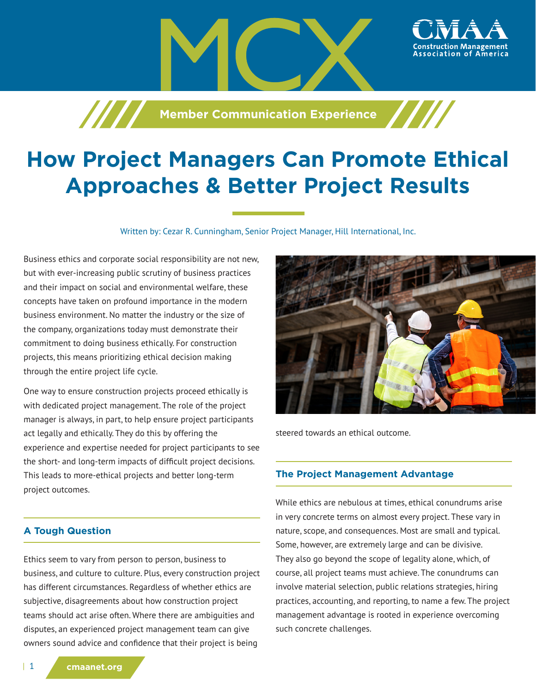

**Member Communication Experience** 

# **How Project Managers Can Promote Ethical Approaches & Better Project Results**

Written by: Cezar R. Cunningham, Senior Project Manager, Hill International, Inc.

Business ethics and corporate social responsibility are not new, but with ever-increasing public scrutiny of business practices and their impact on social and environmental welfare, these concepts have taken on profound importance in the modern business environment. No matter the industry or the size of the company, organizations today must demonstrate their commitment to doing business ethically. For construction projects, this means prioritizing ethical decision making through the entire project life cycle.

One way to ensure construction projects proceed ethically is with dedicated project management. The role of the project manager is always, in part, to help ensure project participants act legally and ethically. They do this by offering the experience and expertise needed for project participants to see the short- and long-term impacts of difficult project decisions. This leads to more-ethical projects and better long-term project outcomes.

# **A Tough Question**

Ethics seem to vary from person to person, business to business, and culture to culture. Plus, every construction project has different circumstances. Regardless of whether ethics are subjective, disagreements about how construction project teams should act arise often. Where there are ambiguities and disputes, an experienced project management team can give owners sound advice and confidence that their project is being



steered towards an ethical outcome.

## **The Project Management Advantage**

While ethics are nebulous at times, ethical conundrums arise in very concrete terms on almost every project. These vary in nature, scope, and consequences. Most are small and typical. Some, however, are extremely large and can be divisive. They also go beyond the scope of legality alone, which, of course, all project teams must achieve. The conundrums can involve material selection, public relations strategies, hiring practices, accounting, and reporting, to name a few. The project management advantage is rooted in experience overcoming such concrete challenges.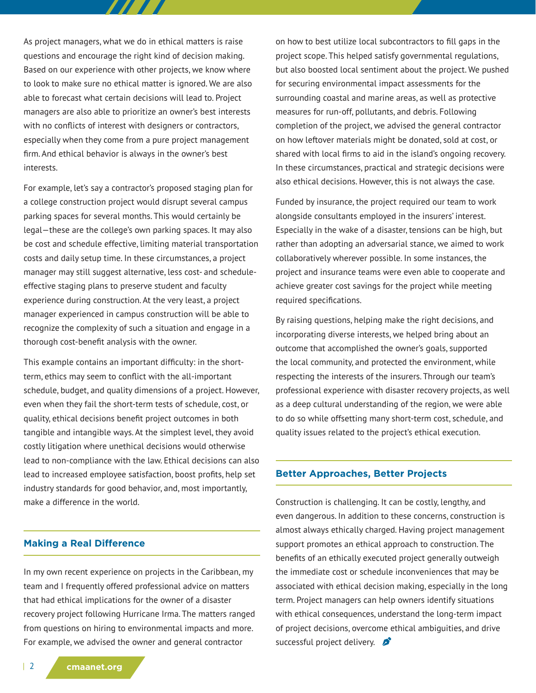As project managers, what we do in ethical matters is raise questions and encourage the right kind of decision making. Based on our experience with other projects, we know where to look to make sure no ethical matter is ignored. We are also able to forecast what certain decisions will lead to. Project managers are also able to prioritize an owner's best interests with no conflicts of interest with designers or contractors, especially when they come from a pure project management firm. And ethical behavior is always in the owner's best interests.

777 T

For example, let's say a contractor's proposed staging plan for a college construction project would disrupt several campus parking spaces for several months. This would certainly be legal—these are the college's own parking spaces. It may also be cost and schedule effective, limiting material transportation costs and daily setup time. In these circumstances, a project manager may still suggest alternative, less cost- and scheduleeffective staging plans to preserve student and faculty experience during construction. At the very least, a project manager experienced in campus construction will be able to recognize the complexity of such a situation and engage in a thorough cost-benefit analysis with the owner.

This example contains an important difficulty: in the shortterm, ethics may seem to conflict with the all-important schedule, budget, and quality dimensions of a project. However, even when they fail the short-term tests of schedule, cost, or quality, ethical decisions benefit project outcomes in both tangible and intangible ways. At the simplest level, they avoid costly litigation where unethical decisions would otherwise lead to non-compliance with the law. Ethical decisions can also lead to increased employee satisfaction, boost profits, help set industry standards for good behavior, and, most importantly, make a difference in the world.

#### **Making a Real Difference**

In my own recent experience on projects in the Caribbean, my team and I frequently offered professional advice on matters that had ethical implications for the owner of a disaster recovery project following Hurricane Irma. The matters ranged from questions on hiring to environmental impacts and more. For example, we advised the owner and general contractor

on how to best utilize local subcontractors to fill gaps in the project scope. This helped satisfy governmental regulations, but also boosted local sentiment about the project. We pushed for securing environmental impact assessments for the surrounding coastal and marine areas, as well as protective measures for run-off, pollutants, and debris. Following completion of the project, we advised the general contractor on how leftover materials might be donated, sold at cost, or shared with local firms to aid in the island's ongoing recovery. In these circumstances, practical and strategic decisions were also ethical decisions. However, this is not always the case.

Funded by insurance, the project required our team to work alongside consultants employed in the insurers' interest. Especially in the wake of a disaster, tensions can be high, but rather than adopting an adversarial stance, we aimed to work collaboratively wherever possible. In some instances, the project and insurance teams were even able to cooperate and achieve greater cost savings for the project while meeting required specifications.

By raising questions, helping make the right decisions, and incorporating diverse interests, we helped bring about an outcome that accomplished the owner's goals, supported the local community, and protected the environment, while respecting the interests of the insurers. Through our team's professional experience with disaster recovery projects, as well as a deep cultural understanding of the region, we were able to do so while offsetting many short-term cost, schedule, and quality issues related to the project's ethical execution.

#### **Better Approaches, Better Projects**

Construction is challenging. It can be costly, lengthy, and even dangerous. In addition to these concerns, construction is almost always ethically charged. Having project management support promotes an ethical approach to construction. The benefits of an ethically executed project generally outweigh the immediate cost or schedule inconveniences that may be associated with ethical decision making, especially in the long term. Project managers can help owners identify situations with ethical consequences, understand the long-term impact of project decisions, overcome ethical ambiguities, and drive successful project delivery.  $\mathcal{L}$